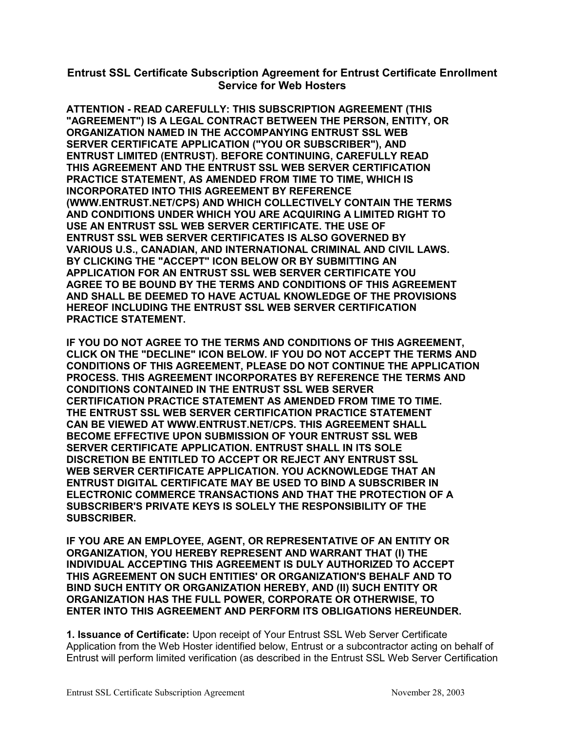## **Entrust SSL Certificate Subscription Agreement for Entrust Certificate Enrollment Service for Web Hosters**

**ATTENTION - READ CAREFULLY: THIS SUBSCRIPTION AGREEMENT (THIS "AGREEMENT") IS A LEGAL CONTRACT BETWEEN THE PERSON, ENTITY, OR ORGANIZATION NAMED IN THE ACCOMPANYING ENTRUST SSL WEB SERVER CERTIFICATE APPLICATION ("YOU OR SUBSCRIBER"), AND ENTRUST LIMITED (ENTRUST). BEFORE CONTINUING, CAREFULLY READ THIS AGREEMENT AND THE ENTRUST SSL WEB SERVER CERTIFICATION PRACTICE STATEMENT, AS AMENDED FROM TIME TO TIME, WHICH IS INCORPORATED INTO THIS AGREEMENT BY REFERENCE (WWW.ENTRUST.NET/CPS) AND WHICH COLLECTIVELY CONTAIN THE TERMS AND CONDITIONS UNDER WHICH YOU ARE ACQUIRING A LIMITED RIGHT TO USE AN ENTRUST SSL WEB SERVER CERTIFICATE. THE USE OF ENTRUST SSL WEB SERVER CERTIFICATES IS ALSO GOVERNED BY VARIOUS U.S., CANADIAN, AND INTERNATIONAL CRIMINAL AND CIVIL LAWS. BY CLICKING THE "ACCEPT" ICON BELOW OR BY SUBMITTING AN APPLICATION FOR AN ENTRUST SSL WEB SERVER CERTIFICATE YOU AGREE TO BE BOUND BY THE TERMS AND CONDITIONS OF THIS AGREEMENT AND SHALL BE DEEMED TO HAVE ACTUAL KNOWLEDGE OF THE PROVISIONS HEREOF INCLUDING THE ENTRUST SSL WEB SERVER CERTIFICATION PRACTICE STATEMENT.** 

**IF YOU DO NOT AGREE TO THE TERMS AND CONDITIONS OF THIS AGREEMENT, CLICK ON THE "DECLINE" ICON BELOW. IF YOU DO NOT ACCEPT THE TERMS AND CONDITIONS OF THIS AGREEMENT, PLEASE DO NOT CONTINUE THE APPLICATION PROCESS. THIS AGREEMENT INCORPORATES BY REFERENCE THE TERMS AND CONDITIONS CONTAINED IN THE ENTRUST SSL WEB SERVER CERTIFICATION PRACTICE STATEMENT AS AMENDED FROM TIME TO TIME. THE ENTRUST SSL WEB SERVER CERTIFICATION PRACTICE STATEMENT CAN BE VIEWED AT WWW.ENTRUST.NET/CPS. THIS AGREEMENT SHALL BECOME EFFECTIVE UPON SUBMISSION OF YOUR ENTRUST SSL WEB SERVER CERTIFICATE APPLICATION. ENTRUST SHALL IN ITS SOLE DISCRETION BE ENTITLED TO ACCEPT OR REJECT ANY ENTRUST SSL WEB SERVER CERTIFICATE APPLICATION. YOU ACKNOWLEDGE THAT AN ENTRUST DIGITAL CERTIFICATE MAY BE USED TO BIND A SUBSCRIBER IN ELECTRONIC COMMERCE TRANSACTIONS AND THAT THE PROTECTION OF A SUBSCRIBER'S PRIVATE KEYS IS SOLELY THE RESPONSIBILITY OF THE SUBSCRIBER.** 

**IF YOU ARE AN EMPLOYEE, AGENT, OR REPRESENTATIVE OF AN ENTITY OR ORGANIZATION, YOU HEREBY REPRESENT AND WARRANT THAT (I) THE INDIVIDUAL ACCEPTING THIS AGREEMENT IS DULY AUTHORIZED TO ACCEPT THIS AGREEMENT ON SUCH ENTITIES' OR ORGANIZATION'S BEHALF AND TO BIND SUCH ENTITY OR ORGANIZATION HEREBY, AND (II) SUCH ENTITY OR ORGANIZATION HAS THE FULL POWER, CORPORATE OR OTHERWISE, TO ENTER INTO THIS AGREEMENT AND PERFORM ITS OBLIGATIONS HEREUNDER.** 

**1. Issuance of Certificate:** Upon receipt of Your Entrust SSL Web Server Certificate Application from the Web Hoster identified below, Entrust or a subcontractor acting on behalf of Entrust will perform limited verification (as described in the Entrust SSL Web Server Certification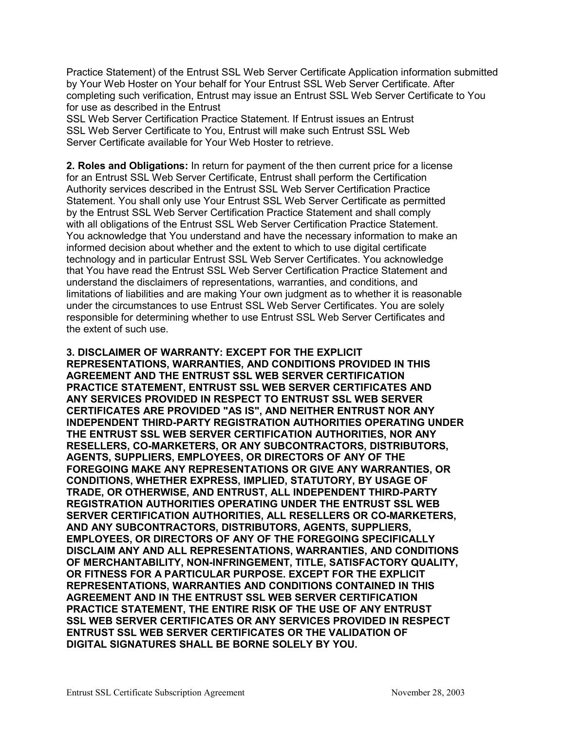Practice Statement) of the Entrust SSL Web Server Certificate Application information submitted by Your Web Hoster on Your behalf for Your Entrust SSL Web Server Certificate. After completing such verification, Entrust may issue an Entrust SSL Web Server Certificate to You for use as described in the Entrust

SSL Web Server Certification Practice Statement. If Entrust issues an Entrust SSL Web Server Certificate to You, Entrust will make such Entrust SSL Web Server Certificate available for Your Web Hoster to retrieve.

**2. Roles and Obligations:** In return for payment of the then current price for a license for an Entrust SSL Web Server Certificate, Entrust shall perform the Certification Authority services described in the Entrust SSL Web Server Certification Practice Statement. You shall only use Your Entrust SSL Web Server Certificate as permitted by the Entrust SSL Web Server Certification Practice Statement and shall comply with all obligations of the Entrust SSL Web Server Certification Practice Statement. You acknowledge that You understand and have the necessary information to make an informed decision about whether and the extent to which to use digital certificate technology and in particular Entrust SSL Web Server Certificates. You acknowledge that You have read the Entrust SSL Web Server Certification Practice Statement and understand the disclaimers of representations, warranties, and conditions, and limitations of liabilities and are making Your own judgment as to whether it is reasonable under the circumstances to use Entrust SSL Web Server Certificates. You are solely responsible for determining whether to use Entrust SSL Web Server Certificates and the extent of such use.

**3. DISCLAIMER OF WARRANTY: EXCEPT FOR THE EXPLICIT REPRESENTATIONS, WARRANTIES, AND CONDITIONS PROVIDED IN THIS AGREEMENT AND THE ENTRUST SSL WEB SERVER CERTIFICATION PRACTICE STATEMENT, ENTRUST SSL WEB SERVER CERTIFICATES AND ANY SERVICES PROVIDED IN RESPECT TO ENTRUST SSL WEB SERVER CERTIFICATES ARE PROVIDED "AS IS", AND NEITHER ENTRUST NOR ANY INDEPENDENT THIRD-PARTY REGISTRATION AUTHORITIES OPERATING UNDER THE ENTRUST SSL WEB SERVER CERTIFICATION AUTHORITIES, NOR ANY RESELLERS, CO-MARKETERS, OR ANY SUBCONTRACTORS, DISTRIBUTORS, AGENTS, SUPPLIERS, EMPLOYEES, OR DIRECTORS OF ANY OF THE FOREGOING MAKE ANY REPRESENTATIONS OR GIVE ANY WARRANTIES, OR CONDITIONS, WHETHER EXPRESS, IMPLIED, STATUTORY, BY USAGE OF TRADE, OR OTHERWISE, AND ENTRUST, ALL INDEPENDENT THIRD-PARTY REGISTRATION AUTHORITIES OPERATING UNDER THE ENTRUST SSL WEB SERVER CERTIFICATION AUTHORITIES, ALL RESELLERS OR CO-MARKETERS, AND ANY SUBCONTRACTORS, DISTRIBUTORS, AGENTS, SUPPLIERS, EMPLOYEES, OR DIRECTORS OF ANY OF THE FOREGOING SPECIFICALLY DISCLAIM ANY AND ALL REPRESENTATIONS, WARRANTIES, AND CONDITIONS OF MERCHANTABILITY, NON-INFRINGEMENT, TITLE, SATISFACTORY QUALITY, OR FITNESS FOR A PARTICULAR PURPOSE. EXCEPT FOR THE EXPLICIT REPRESENTATIONS, WARRANTIES AND CONDITIONS CONTAINED IN THIS AGREEMENT AND IN THE ENTRUST SSL WEB SERVER CERTIFICATION PRACTICE STATEMENT, THE ENTIRE RISK OF THE USE OF ANY ENTRUST SSL WEB SERVER CERTIFICATES OR ANY SERVICES PROVIDED IN RESPECT ENTRUST SSL WEB SERVER CERTIFICATES OR THE VALIDATION OF DIGITAL SIGNATURES SHALL BE BORNE SOLELY BY YOU.**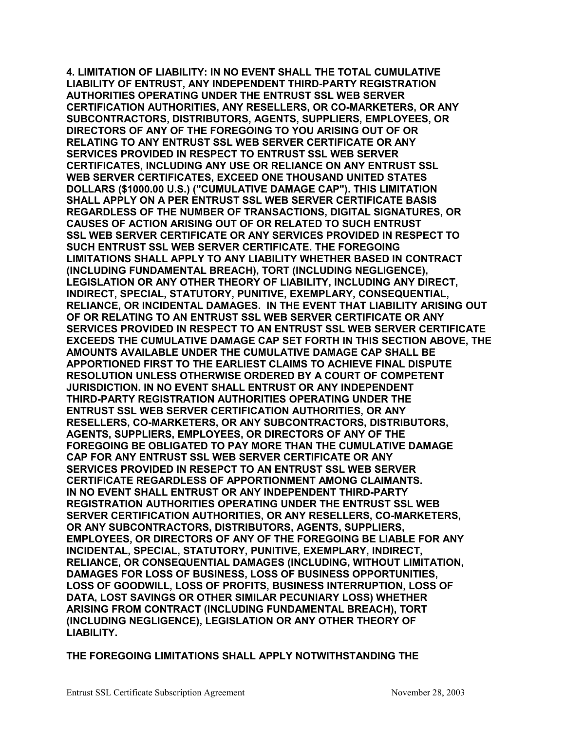**4. LIMITATION OF LIABILITY: IN NO EVENT SHALL THE TOTAL CUMULATIVE LIABILITY OF ENTRUST, ANY INDEPENDENT THIRD-PARTY REGISTRATION AUTHORITIES OPERATING UNDER THE ENTRUST SSL WEB SERVER CERTIFICATION AUTHORITIES, ANY RESELLERS, OR CO-MARKETERS, OR ANY SUBCONTRACTORS, DISTRIBUTORS, AGENTS, SUPPLIERS, EMPLOYEES, OR DIRECTORS OF ANY OF THE FOREGOING TO YOU ARISING OUT OF OR RELATING TO ANY ENTRUST SSL WEB SERVER CERTIFICATE OR ANY SERVICES PROVIDED IN RESPECT TO ENTRUST SSL WEB SERVER CERTIFICATES, INCLUDING ANY USE OR RELIANCE ON ANY ENTRUST SSL WEB SERVER CERTIFICATES, EXCEED ONE THOUSAND UNITED STATES DOLLARS (\$1000.00 U.S.) ("CUMULATIVE DAMAGE CAP"). THIS LIMITATION SHALL APPLY ON A PER ENTRUST SSL WEB SERVER CERTIFICATE BASIS REGARDLESS OF THE NUMBER OF TRANSACTIONS, DIGITAL SIGNATURES, OR CAUSES OF ACTION ARISING OUT OF OR RELATED TO SUCH ENTRUST SSL WEB SERVER CERTIFICATE OR ANY SERVICES PROVIDED IN RESPECT TO SUCH ENTRUST SSL WEB SERVER CERTIFICATE. THE FOREGOING LIMITATIONS SHALL APPLY TO ANY LIABILITY WHETHER BASED IN CONTRACT (INCLUDING FUNDAMENTAL BREACH), TORT (INCLUDING NEGLIGENCE), LEGISLATION OR ANY OTHER THEORY OF LIABILITY, INCLUDING ANY DIRECT, INDIRECT, SPECIAL, STATUTORY, PUNITIVE, EXEMPLARY, CONSEQUENTIAL, RELIANCE, OR INCIDENTAL DAMAGES. IN THE EVENT THAT LIABILITY ARISING OUT OF OR RELATING TO AN ENTRUST SSL WEB SERVER CERTIFICATE OR ANY SERVICES PROVIDED IN RESPECT TO AN ENTRUST SSL WEB SERVER CERTIFICATE EXCEEDS THE CUMULATIVE DAMAGE CAP SET FORTH IN THIS SECTION ABOVE, THE AMOUNTS AVAILABLE UNDER THE CUMULATIVE DAMAGE CAP SHALL BE APPORTIONED FIRST TO THE EARLIEST CLAIMS TO ACHIEVE FINAL DISPUTE RESOLUTION UNLESS OTHERWISE ORDERED BY A COURT OF COMPETENT JURISDICTION. IN NO EVENT SHALL ENTRUST OR ANY INDEPENDENT THIRD-PARTY REGISTRATION AUTHORITIES OPERATING UNDER THE ENTRUST SSL WEB SERVER CERTIFICATION AUTHORITIES, OR ANY RESELLERS, CO-MARKETERS, OR ANY SUBCONTRACTORS, DISTRIBUTORS, AGENTS, SUPPLIERS, EMPLOYEES, OR DIRECTORS OF ANY OF THE FOREGOING BE OBLIGATED TO PAY MORE THAN THE CUMULATIVE DAMAGE CAP FOR ANY ENTRUST SSL WEB SERVER CERTIFICATE OR ANY SERVICES PROVIDED IN RESEPCT TO AN ENTRUST SSL WEB SERVER CERTIFICATE REGARDLESS OF APPORTIONMENT AMONG CLAIMANTS. IN NO EVENT SHALL ENTRUST OR ANY INDEPENDENT THIRD-PARTY REGISTRATION AUTHORITIES OPERATING UNDER THE ENTRUST SSL WEB SERVER CERTIFICATION AUTHORITIES, OR ANY RESELLERS, CO-MARKETERS, OR ANY SUBCONTRACTORS, DISTRIBUTORS, AGENTS, SUPPLIERS, EMPLOYEES, OR DIRECTORS OF ANY OF THE FOREGOING BE LIABLE FOR ANY INCIDENTAL, SPECIAL, STATUTORY, PUNITIVE, EXEMPLARY, INDIRECT, RELIANCE, OR CONSEQUENTIAL DAMAGES (INCLUDING, WITHOUT LIMITATION, DAMAGES FOR LOSS OF BUSINESS, LOSS OF BUSINESS OPPORTUNITIES, LOSS OF GOODWILL, LOSS OF PROFITS, BUSINESS INTERRUPTION, LOSS OF DATA, LOST SAVINGS OR OTHER SIMILAR PECUNIARY LOSS) WHETHER ARISING FROM CONTRACT (INCLUDING FUNDAMENTAL BREACH), TORT (INCLUDING NEGLIGENCE), LEGISLATION OR ANY OTHER THEORY OF LIABILITY.** 

**THE FOREGOING LIMITATIONS SHALL APPLY NOTWITHSTANDING THE**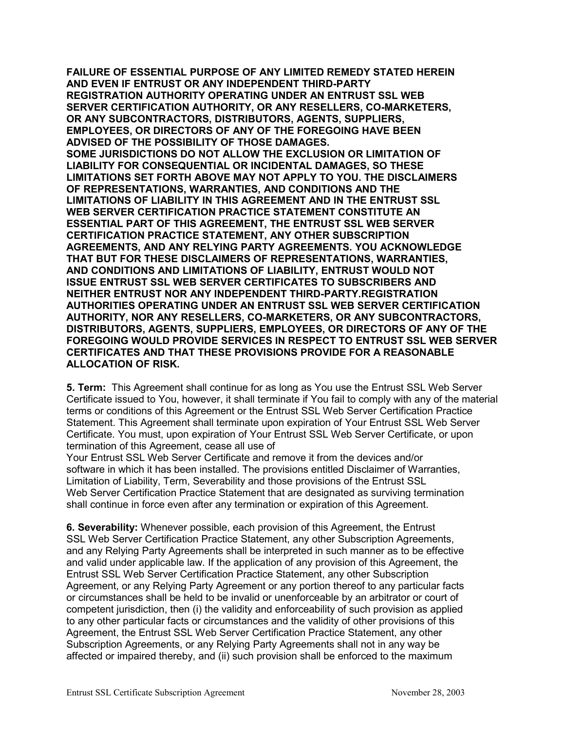**FAILURE OF ESSENTIAL PURPOSE OF ANY LIMITED REMEDY STATED HEREIN AND EVEN IF ENTRUST OR ANY INDEPENDENT THIRD-PARTY REGISTRATION AUTHORITY OPERATING UNDER AN ENTRUST SSL WEB SERVER CERTIFICATION AUTHORITY, OR ANY RESELLERS, CO-MARKETERS, OR ANY SUBCONTRACTORS, DISTRIBUTORS, AGENTS, SUPPLIERS, EMPLOYEES, OR DIRECTORS OF ANY OF THE FOREGOING HAVE BEEN ADVISED OF THE POSSIBILITY OF THOSE DAMAGES. SOME JURISDICTIONS DO NOT ALLOW THE EXCLUSION OR LIMITATION OF LIABILITY FOR CONSEQUENTIAL OR INCIDENTAL DAMAGES, SO THESE LIMITATIONS SET FORTH ABOVE MAY NOT APPLY TO YOU. THE DISCLAIMERS OF REPRESENTATIONS, WARRANTIES, AND CONDITIONS AND THE LIMITATIONS OF LIABILITY IN THIS AGREEMENT AND IN THE ENTRUST SSL WEB SERVER CERTIFICATION PRACTICE STATEMENT CONSTITUTE AN ESSENTIAL PART OF THIS AGREEMENT, THE ENTRUST SSL WEB SERVER CERTIFICATION PRACTICE STATEMENT, ANY OTHER SUBSCRIPTION AGREEMENTS, AND ANY RELYING PARTY AGREEMENTS. YOU ACKNOWLEDGE THAT BUT FOR THESE DISCLAIMERS OF REPRESENTATIONS, WARRANTIES, AND CONDITIONS AND LIMITATIONS OF LIABILITY, ENTRUST WOULD NOT ISSUE ENTRUST SSL WEB SERVER CERTIFICATES TO SUBSCRIBERS AND NEITHER ENTRUST NOR ANY INDEPENDENT THIRD-PARTY.REGISTRATION AUTHORITIES OPERATING UNDER AN ENTRUST SSL WEB SERVER CERTIFICATION AUTHORITY, NOR ANY RESELLERS, CO-MARKETERS, OR ANY SUBCONTRACTORS, DISTRIBUTORS, AGENTS, SUPPLIERS, EMPLOYEES, OR DIRECTORS OF ANY OF THE FOREGOING WOULD PROVIDE SERVICES IN RESPECT TO ENTRUST SSL WEB SERVER CERTIFICATES AND THAT THESE PROVISIONS PROVIDE FOR A REASONABLE ALLOCATION OF RISK.** 

**5. Term:** This Agreement shall continue for as long as You use the Entrust SSL Web Server Certificate issued to You, however, it shall terminate if You fail to comply with any of the material terms or conditions of this Agreement or the Entrust SSL Web Server Certification Practice Statement. This Agreement shall terminate upon expiration of Your Entrust SSL Web Server Certificate. You must, upon expiration of Your Entrust SSL Web Server Certificate, or upon termination of this Agreement, cease all use of

Your Entrust SSL Web Server Certificate and remove it from the devices and/or software in which it has been installed. The provisions entitled Disclaimer of Warranties, Limitation of Liability, Term, Severability and those provisions of the Entrust SSL Web Server Certification Practice Statement that are designated as surviving termination shall continue in force even after any termination or expiration of this Agreement.

**6. Severability:** Whenever possible, each provision of this Agreement, the Entrust SSL Web Server Certification Practice Statement, any other Subscription Agreements, and any Relying Party Agreements shall be interpreted in such manner as to be effective and valid under applicable law. If the application of any provision of this Agreement, the Entrust SSL Web Server Certification Practice Statement, any other Subscription Agreement, or any Relying Party Agreement or any portion thereof to any particular facts or circumstances shall be held to be invalid or unenforceable by an arbitrator or court of competent jurisdiction, then (i) the validity and enforceability of such provision as applied to any other particular facts or circumstances and the validity of other provisions of this Agreement, the Entrust SSL Web Server Certification Practice Statement, any other Subscription Agreements, or any Relying Party Agreements shall not in any way be affected or impaired thereby, and (ii) such provision shall be enforced to the maximum